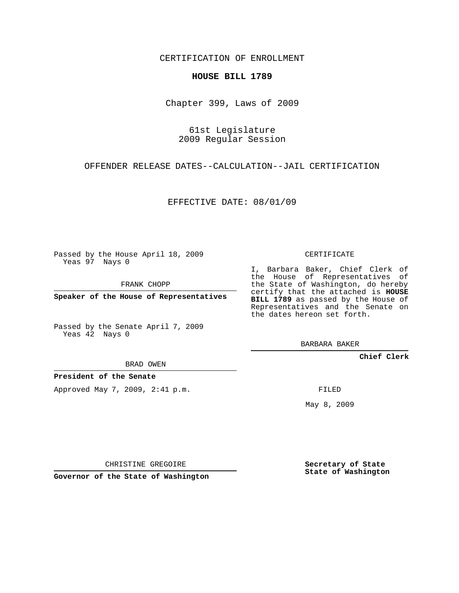CERTIFICATION OF ENROLLMENT

## **HOUSE BILL 1789**

Chapter 399, Laws of 2009

61st Legislature 2009 Regular Session

OFFENDER RELEASE DATES--CALCULATION--JAIL CERTIFICATION

EFFECTIVE DATE: 08/01/09

Passed by the House April 18, 2009 Yeas 97 Nays 0

FRANK CHOPP

**Speaker of the House of Representatives**

Passed by the Senate April 7, 2009 Yeas 42 Nays 0

BRAD OWEN

**President of the Senate**

Approved May 7, 2009, 2:41 p.m.

CERTIFICATE

I, Barbara Baker, Chief Clerk of the House of Representatives of the State of Washington, do hereby certify that the attached is **HOUSE BILL 1789** as passed by the House of Representatives and the Senate on the dates hereon set forth.

BARBARA BAKER

**Chief Clerk**

FILED

May 8, 2009

**Secretary of State State of Washington**

CHRISTINE GREGOIRE

**Governor of the State of Washington**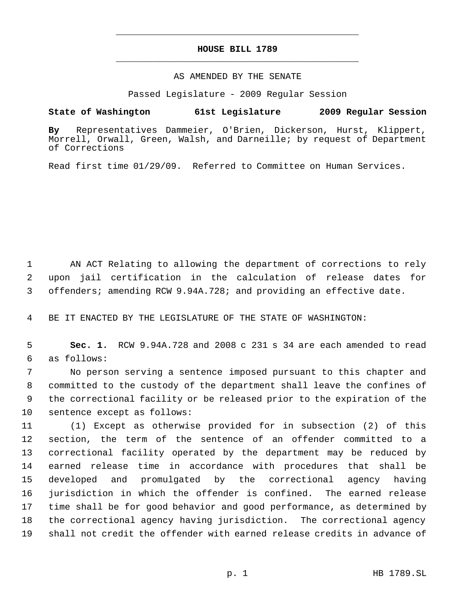## **HOUSE BILL 1789** \_\_\_\_\_\_\_\_\_\_\_\_\_\_\_\_\_\_\_\_\_\_\_\_\_\_\_\_\_\_\_\_\_\_\_\_\_\_\_\_\_\_\_\_\_

\_\_\_\_\_\_\_\_\_\_\_\_\_\_\_\_\_\_\_\_\_\_\_\_\_\_\_\_\_\_\_\_\_\_\_\_\_\_\_\_\_\_\_\_\_

## AS AMENDED BY THE SENATE

Passed Legislature - 2009 Regular Session

## **State of Washington 61st Legislature 2009 Regular Session**

**By** Representatives Dammeier, O'Brien, Dickerson, Hurst, Klippert, Morrell, Orwall, Green, Walsh, and Darneille; by request of Department of Corrections

Read first time 01/29/09. Referred to Committee on Human Services.

 AN ACT Relating to allowing the department of corrections to rely upon jail certification in the calculation of release dates for offenders; amending RCW 9.94A.728; and providing an effective date.

BE IT ENACTED BY THE LEGISLATURE OF THE STATE OF WASHINGTON:

 **Sec. 1.** RCW 9.94A.728 and 2008 c 231 s 34 are each amended to read as follows:

 No person serving a sentence imposed pursuant to this chapter and committed to the custody of the department shall leave the confines of the correctional facility or be released prior to the expiration of the sentence except as follows:

 (1) Except as otherwise provided for in subsection (2) of this section, the term of the sentence of an offender committed to a correctional facility operated by the department may be reduced by earned release time in accordance with procedures that shall be developed and promulgated by the correctional agency having jurisdiction in which the offender is confined. The earned release time shall be for good behavior and good performance, as determined by the correctional agency having jurisdiction. The correctional agency shall not credit the offender with earned release credits in advance of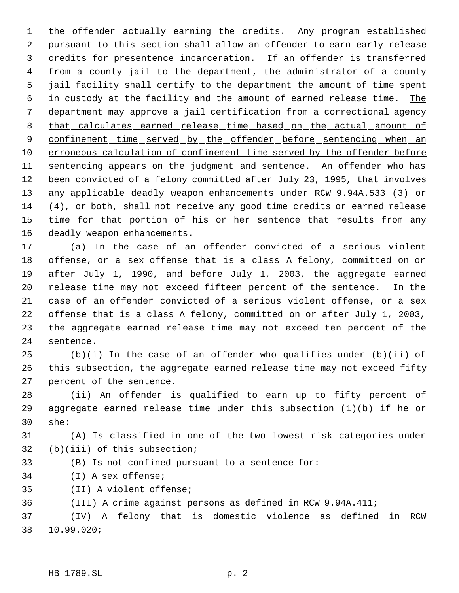the offender actually earning the credits. Any program established pursuant to this section shall allow an offender to earn early release credits for presentence incarceration. If an offender is transferred from a county jail to the department, the administrator of a county jail facility shall certify to the department the amount of time spent 6 in custody at the facility and the amount of earned release time. The department may approve a jail certification from a correctional agency 8 that calculates earned release time based on the actual amount of 9 confinement time served by the offender before sentencing when an erroneous calculation of confinement time served by the offender before 11 sentencing appears on the judgment and sentence. An offender who has been convicted of a felony committed after July 23, 1995, that involves any applicable deadly weapon enhancements under RCW 9.94A.533 (3) or (4), or both, shall not receive any good time credits or earned release time for that portion of his or her sentence that results from any deadly weapon enhancements.

 (a) In the case of an offender convicted of a serious violent offense, or a sex offense that is a class A felony, committed on or after July 1, 1990, and before July 1, 2003, the aggregate earned release time may not exceed fifteen percent of the sentence. In the case of an offender convicted of a serious violent offense, or a sex offense that is a class A felony, committed on or after July 1, 2003, the aggregate earned release time may not exceed ten percent of the sentence.

 (b)(i) In the case of an offender who qualifies under (b)(ii) of this subsection, the aggregate earned release time may not exceed fifty percent of the sentence.

 (ii) An offender is qualified to earn up to fifty percent of 29 aggregate earned release time under this subsection  $(1)(b)$  if he or she:

 (A) Is classified in one of the two lowest risk categories under (b)(iii) of this subsection;

- (B) Is not confined pursuant to a sentence for:
- (I) A sex offense;
- (II) A violent offense;

(III) A crime against persons as defined in RCW 9.94A.411;

 (IV) A felony that is domestic violence as defined in RCW 10.99.020;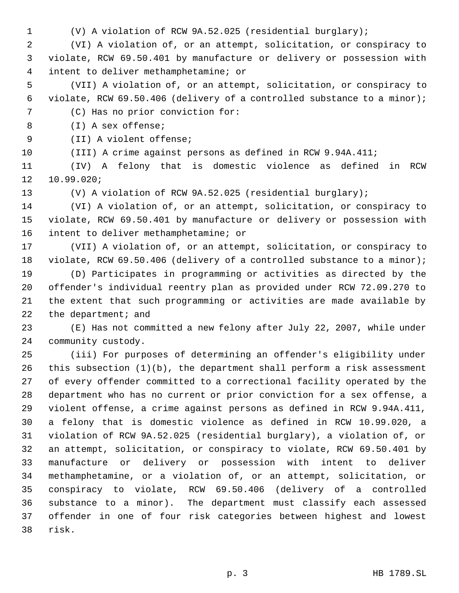(V) A violation of RCW 9A.52.025 (residential burglary);

 (VI) A violation of, or an attempt, solicitation, or conspiracy to violate, RCW 69.50.401 by manufacture or delivery or possession with intent to deliver methamphetamine; or

 (VII) A violation of, or an attempt, solicitation, or conspiracy to violate, RCW 69.50.406 (delivery of a controlled substance to a minor); (C) Has no prior conviction for:

(I) A sex offense;

(II) A violent offense;

(III) A crime against persons as defined in RCW 9.94A.411;

 (IV) A felony that is domestic violence as defined in RCW 10.99.020;

(V) A violation of RCW 9A.52.025 (residential burglary);

 (VI) A violation of, or an attempt, solicitation, or conspiracy to violate, RCW 69.50.401 by manufacture or delivery or possession with intent to deliver methamphetamine; or

 (VII) A violation of, or an attempt, solicitation, or conspiracy to violate, RCW 69.50.406 (delivery of a controlled substance to a minor);

 (D) Participates in programming or activities as directed by the offender's individual reentry plan as provided under RCW 72.09.270 to the extent that such programming or activities are made available by 22 the department; and

 (E) Has not committed a new felony after July 22, 2007, while under community custody.

 (iii) For purposes of determining an offender's eligibility under this subsection (1)(b), the department shall perform a risk assessment of every offender committed to a correctional facility operated by the department who has no current or prior conviction for a sex offense, a violent offense, a crime against persons as defined in RCW 9.94A.411, a felony that is domestic violence as defined in RCW 10.99.020, a violation of RCW 9A.52.025 (residential burglary), a violation of, or an attempt, solicitation, or conspiracy to violate, RCW 69.50.401 by manufacture or delivery or possession with intent to deliver methamphetamine, or a violation of, or an attempt, solicitation, or conspiracy to violate, RCW 69.50.406 (delivery of a controlled substance to a minor). The department must classify each assessed offender in one of four risk categories between highest and lowest risk.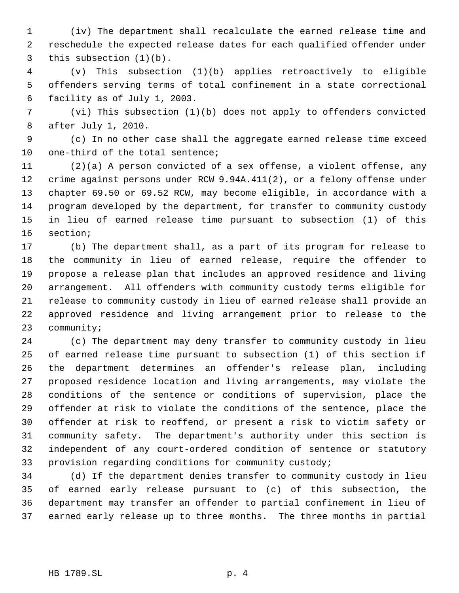(iv) The department shall recalculate the earned release time and reschedule the expected release dates for each qualified offender under this subsection (1)(b).

 (v) This subsection (1)(b) applies retroactively to eligible offenders serving terms of total confinement in a state correctional facility as of July 1, 2003.

 (vi) This subsection (1)(b) does not apply to offenders convicted after July 1, 2010.

 (c) In no other case shall the aggregate earned release time exceed one-third of the total sentence;

 (2)(a) A person convicted of a sex offense, a violent offense, any crime against persons under RCW 9.94A.411(2), or a felony offense under chapter 69.50 or 69.52 RCW, may become eligible, in accordance with a program developed by the department, for transfer to community custody in lieu of earned release time pursuant to subsection (1) of this section;

 (b) The department shall, as a part of its program for release to the community in lieu of earned release, require the offender to propose a release plan that includes an approved residence and living arrangement. All offenders with community custody terms eligible for release to community custody in lieu of earned release shall provide an approved residence and living arrangement prior to release to the community;

 (c) The department may deny transfer to community custody in lieu of earned release time pursuant to subsection (1) of this section if the department determines an offender's release plan, including proposed residence location and living arrangements, may violate the conditions of the sentence or conditions of supervision, place the offender at risk to violate the conditions of the sentence, place the offender at risk to reoffend, or present a risk to victim safety or community safety. The department's authority under this section is independent of any court-ordered condition of sentence or statutory provision regarding conditions for community custody;

 (d) If the department denies transfer to community custody in lieu of earned early release pursuant to (c) of this subsection, the department may transfer an offender to partial confinement in lieu of earned early release up to three months. The three months in partial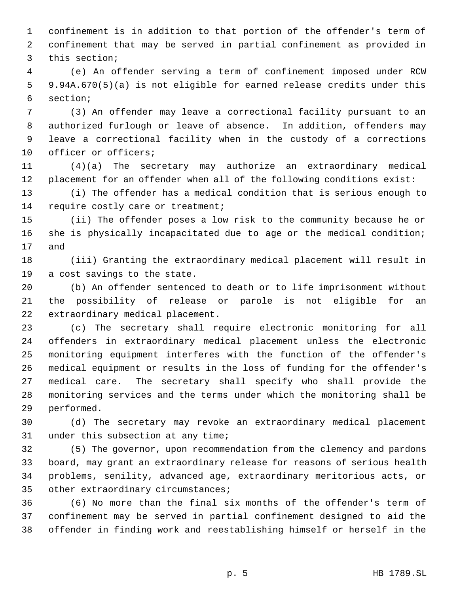confinement is in addition to that portion of the offender's term of confinement that may be served in partial confinement as provided in this section;

 (e) An offender serving a term of confinement imposed under RCW 9.94A.670(5)(a) is not eligible for earned release credits under this section;

 (3) An offender may leave a correctional facility pursuant to an authorized furlough or leave of absence. In addition, offenders may leave a correctional facility when in the custody of a corrections officer or officers;

 (4)(a) The secretary may authorize an extraordinary medical placement for an offender when all of the following conditions exist:

 (i) The offender has a medical condition that is serious enough to 14 require costly care or treatment;

 (ii) The offender poses a low risk to the community because he or she is physically incapacitated due to age or the medical condition; and

 (iii) Granting the extraordinary medical placement will result in a cost savings to the state.

 (b) An offender sentenced to death or to life imprisonment without the possibility of release or parole is not eligible for an extraordinary medical placement.

 (c) The secretary shall require electronic monitoring for all offenders in extraordinary medical placement unless the electronic monitoring equipment interferes with the function of the offender's medical equipment or results in the loss of funding for the offender's medical care. The secretary shall specify who shall provide the monitoring services and the terms under which the monitoring shall be performed.

 (d) The secretary may revoke an extraordinary medical placement under this subsection at any time;

 (5) The governor, upon recommendation from the clemency and pardons board, may grant an extraordinary release for reasons of serious health problems, senility, advanced age, extraordinary meritorious acts, or other extraordinary circumstances;

 (6) No more than the final six months of the offender's term of confinement may be served in partial confinement designed to aid the offender in finding work and reestablishing himself or herself in the